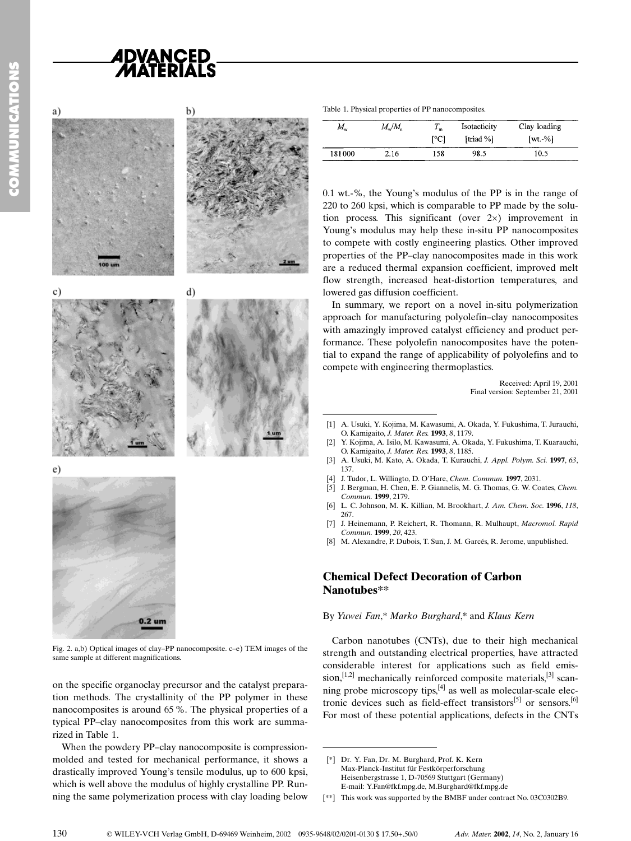# **ADVANCED<br>/MATERIALS**





d)



 $\epsilon$ )



Fig. 2. a,b) Optical images of clay-PP nanocomposite. c-e) TEM images of the same sample at different magnifications.

on the specific organoclay precursor and the catalyst preparation methods. The crystallinity of the PP polymer in these nanocomposites is around 65 %. The physical properties of a typical PP-clay nanocomposites from this work are summarized in Table 1.

When the powdery PP-clay nanocomposite is compressionmolded and tested for mechanical performance, it shows a drastically improved Young's tensile modulus, up to 600 kpsi, which is well above the modulus of highly crystalline PP. Running the same polymerization process with clay loading below

| Table 1. Physical properties of PP nanocomposites. |  |
|----------------------------------------------------|--|
|                                                    |  |

| $M_{\rm w}$ | $M_{\rm w}/M_{\rm n}$ | $T_{\scriptscriptstyle\rm m}$<br>$\Gamma$ <sup>o</sup> Cl | Isotacticity<br>[triad %] | Clay loading<br>$\lceil wt. -\% \rceil$ |
|-------------|-----------------------|-----------------------------------------------------------|---------------------------|-----------------------------------------|
| 181000      | 2.16                  | 158                                                       | 98.5                      | 10.5                                    |

0.1 wt.-%, the Young's modulus of the PP is in the range of 220 to 260 kpsi, which is comparable to PP made by the solution process. This significant (over  $2\times$ ) improvement in Young's modulus may help these in-situ PP nanocomposites to compete with costly engineering plastics. Other improved properties of the PP-clay nanocomposites made in this work are a reduced thermal expansion coefficient, improved melt flow strength, increased heat-distortion temperatures, and lowered gas diffusion coefficient.

In summary, we report on a novel in-situ polymerization approach for manufacturing polyolefin-clay nanocomposites with amazingly improved catalyst efficiency and product performance. These polyolefin nanocomposites have the potential to expand the range of applicability of polyolefins and to compete with engineering thermoplastics. properties of the PP-clay n<br>are a reduced thermal exp.<br>flow strength, increased h<br>lowered gas diffusion coeffic<br>In summary, we report of<br>approach for manufacturin<br>with amazingly improved car<br>formance. These polyolefin<br>tial

Received: April 19, 2001 Final version: September 21, 2001

- [1] A. Usuki, Y. Kojima, M. Kawasumi, A. Okada, Y. Fukushima, T. Jurauchi, O. Kamigaito, J. Mater. Res. 1993, 8, 1179.
- [2] Y. Kojima, A. Isilo, M. Kawasumi, A. Okada, Y. Fukushima, T. Kuarauchi, O. Kamigaito, J. Mater. Res. 1993, 8, 1185.
- [3] A. Usuki, M. Kato, A. Okada, T. Kurauchi, J. Appl. Polym. Sci. 1997, 63, 137.
- J. Tudor, L. Willingto, D. O'Hare, Chem. Commun. 1997, 2031.
- [5] J. Bergman, H. Chen, E. P. Giannelis, M. G. Thomas, G. W. Coates, Chem. Commun. 1999, 2179.
- [6] L. C. Johnson, M. K. Killian, M. Brookhart, J. Am. Chem. Soc. 1996, 118, 267.
- [7] J. Heinemann, P. Reichert, R. Thomann, R. Mulhaupt, Macromol. Rapid Commun. 1999, 20, 423.
- [8] M. Alexandre, P. Dubois, T. Sun, J. M. Garcés, R. Jerome, unpublished.

### Chemical Defect Decoration of Carbon Nanotubes\*\*

#### By Yuwei Fan,\* Marko Burghard,\* and Klaus Kern

Carbon nanotubes (CNTs), due to their high mechanical strength and outstanding electrical properties, have attracted considerable interest for applications such as field emission,<sup>[1,2]</sup> mechanically reinforced composite materials,<sup>[3]</sup> scanning probe microscopy tips, $[4]$  as well as molecular-scale electronic devices such as field-effect transistors<sup>[5]</sup> or sensors.<sup>[6]</sup> For most of these potential applications, defects in the CNTs **Nanotubes**<sup>\*\*</sup><br>By Yuwei Fan,\* Marko Bur,<br>Carbon nanotubes (CNT<br>strength and outstanding el<br>considerable interest for<br>sion,<sup>[1,2]</sup> mechanically reinfo<br>ning probe microscopy tips,<br>tronic devices such as field<br>For most of t

<sup>[\*]</sup> Dr. Y. Fan, Dr. M. Burghard, Prof. K. Kern Max-Planck-Institut für Festkörperforschung Heisenbergstrasse 1, D-70569 Stuttgart (Germany) E-mail: Y.Fan@fkf.mpg.de, M.Burghard@fkf.mpg.de

<sup>[\*\*]</sup> This work was supported by the BMBF under contract No. 03C0302B9.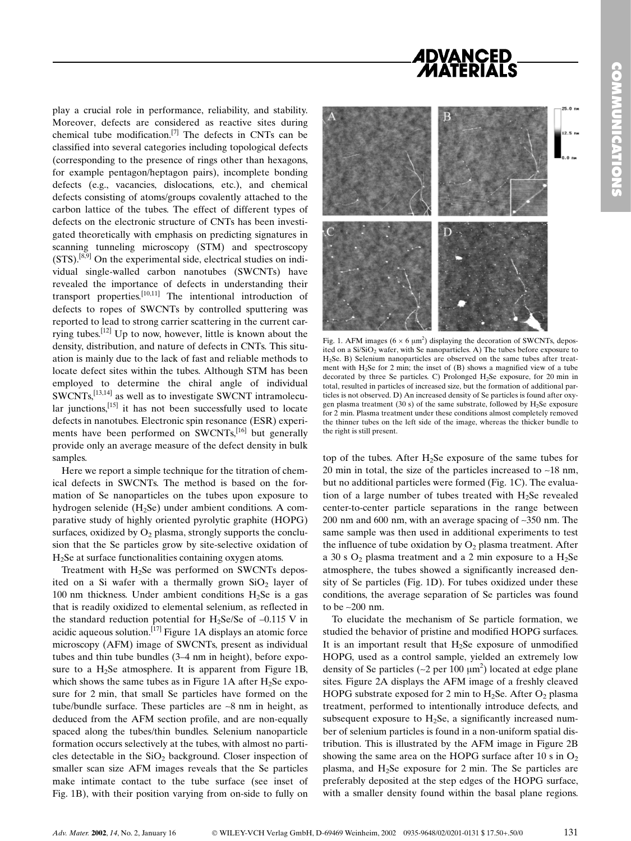## *ADVANCED<br>MATERIALS*

play a crucial role in performance, reliability, and stability. Moreover, defects are considered as reactive sites during chemical tube modification.[7] The defects in CNTs can be classified into several categories including topological defects (corresponding to the presence of rings other than hexagons, for example pentagon/heptagon pairs), incomplete bonding defects (e.g., vacancies, dislocations, etc.), and chemical defects consisting of atoms/groups covalently attached to the carbon lattice of the tubes. The effect of different types of defects on the electronic structure of CNTs has been investigated theoretically with emphasis on predicting signatures in scanning tunneling microscopy (STM) and spectroscopy (STS).[8,9] On the experimental side, electrical studies on individual single-walled carbon nanotubes (SWCNTs) have revealed the importance of defects in understanding their transport properties.[10,11] The intentional introduction of defects to ropes of SWCNTs by controlled sputtering was reported to lead to strong carrier scattering in the current carrying tubes.[12] Up to now, however, little is known about the density, distribution, and nature of defects in CNTs. This situation is mainly due to the lack of fast and reliable methods to locate defect sites within the tubes. Although STM has been employed to determine the chiral angle of individual SWCNTs,[13,14] as well as to investigate SWCNT intramolecular junctions, $^{[15]}$  it has not been successfully used to locate defects in nanotubes. Electronic spin resonance (ESR) experiments have been performed on SWCNTs,<sup>[16]</sup> but generally provide only an average measure of the defect density in bulk samples.

Here we report a simple technique for the titration of chemical defects in SWCNTs. The method is based on the formation of Se nanoparticles on the tubes upon exposure to hydrogen selenide  $(H<sub>2</sub>Se)$  under ambient conditions. A comparative study of highly oriented pyrolytic graphite (HOPG) surfaces, oxidized by  $O_2$  plasma, strongly supports the conclusion that the Se particles grow by site-selective oxidation of  $H<sub>2</sub>$ Se at surface functionalities containing oxygen atoms.

Treatment with H2Se was performed on SWCNTs deposited on a Si wafer with a thermally grown  $SiO<sub>2</sub>$  layer of 100 nm thickness. Under ambient conditions  $H_2$ Se is a gas that is readily oxidized to elemental selenium, as reflected in the standard reduction potential for H<sub>2</sub>Se/Se of  $-0.115$  V in acidic aqueous solution.<sup>[17]</sup> Figure 1A displays an atomic force microscopy (AFM) image of SWCNTs, present as individual tubes and thin tube bundles  $(3-4)$  nm in height), before exposure to a  $H_2$ Se atmosphere. It is apparent from Figure 1B, which shows the same tubes as in Figure 1A after  $H_2$ Se exposure for 2 min, that small Se particles have formed on the tube/bundle surface. These particles are ~8 nm in height, as deduced from the AFM section profile, and are non-equally spaced along the tubes/thin bundles. Selenium nanoparticle formation occurs selectively at the tubes, with almost no particles detectable in the  $SiO<sub>2</sub>$  background. Closer inspection of smaller scan size AFM images reveals that the Se particles make intimate contact to the tube surface (see inset of Fig. 1B), with their position varying from on-side to fully on



Fig. 1. AFM images ( $6 \times 6 \mu m^2$ ) displaying the decoration of SWCNTs, deposited on a Si/SiO<sub>2</sub> wafer, with Se nanoparticles. A) The tubes before exposure to H2Se. B) Selenium nanoparticles are observed on the same tubes after treatment with H<sub>2</sub>Se for 2 min; the inset of  $(B)$  shows a magnified view of a tube decorated by three Se particles. C) Prolonged H2Se exposure, for 20 min in total, resulted in particles of increased size, but the formation of additional particles is not observed. D) An increased density of Se particles is found after oxygen plasma treatment (30 s) of the same substrate, followed by  $H_2$ Se exposure for 2 min. Plasma treatment under these conditions almost completely removed the thinner tubes on the left side of the image, whereas the thicker bundle to the right is still present.

top of the tubes. After  $H_2$ Se exposure of the same tubes for 20 min in total, the size of the particles increased to  $\sim$ 18 nm, but no additional particles were formed (Fig. 1C). The evaluation of a large number of tubes treated with  $H_2$ Se revealed center-to-center particle separations in the range between 200 nm and 600 nm, with an average spacing of ~350 nm. The same sample was then used in additional experiments to test the influence of tube oxidation by  $O_2$  plasma treatment. After a 30 s  $O_2$  plasma treatment and a 2 min exposure to a  $H_2$ Se atmosphere, the tubes showed a significantly increased density of Se particles (Fig. 1D). For tubes oxidized under these conditions, the average separation of Se particles was found to be ~200 nm.

To elucidate the mechanism of Se particle formation, we studied the behavior of pristine and modified HOPG surfaces. It is an important result that  $H_2$ Se exposure of unmodified HOPG, used as a control sample, yielded an extremely low density of Se particles ( $\sim$ 2 per 100  $\mu$ m<sup>2</sup>) located at edge plane sites. Figure 2A displays the AFM image of a freshly cleaved HOPG substrate exposed for 2 min to  $H_2$ Se. After O<sub>2</sub> plasma treatment, performed to intentionally introduce defects, and subsequent exposure to H<sub>2</sub>Se, a significantly increased number of selenium particles is found in a non-uniform spatial distribution. This is illustrated by the AFM image in Figure 2B showing the same area on the HOPG surface after 10 s in  $O_2$ plasma, and  $H_2$ Se exposure for 2 min. The Se particles are preferably deposited at the step edges of the HOPG surface, with a smaller density found within the basal plane regions.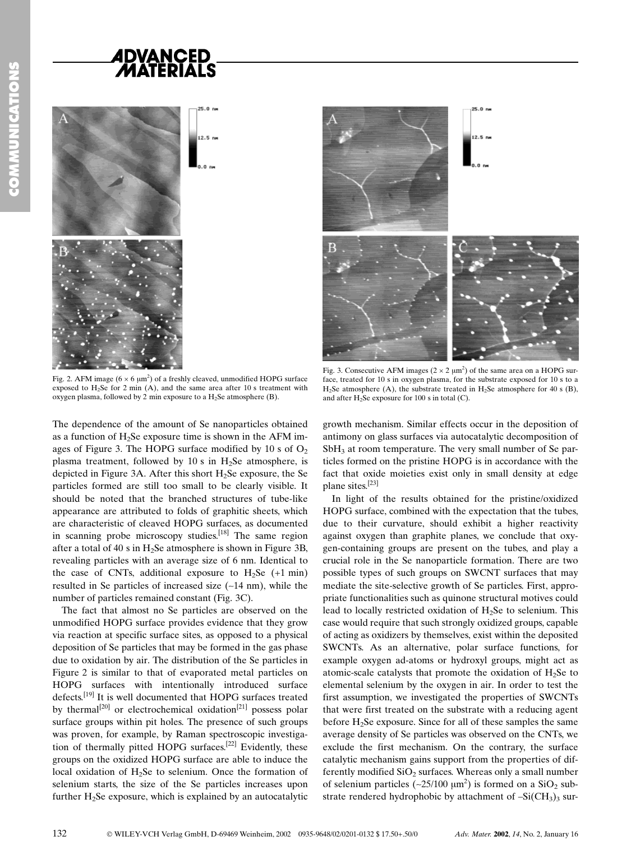# **ADVANCED<br>/MATERIALS**



Fig. 2. AFM image ( $6 \times 6 \mu m^2$ ) of a freshly cleaved, unmodified HOPG surface exposed to  $H_2$ Se for 2 min (A), and the same area after 10 s treatment with oxygen plasma, followed by 2 min exposure to a  $H_2$ Se atmosphere (B).

The dependence of the amount of Se nanoparticles obtained as a function of  $H_2$ Se exposure time is shown in the AFM images of Figure 3. The HOPG surface modified by 10 s of  $O<sub>2</sub>$ plasma treatment, followed by 10 s in  $H_2$ Se atmosphere, is depicted in Figure 3A. After this short  $H<sub>2</sub>Se$  exposure, the Se particles formed are still too small to be clearly visible. It should be noted that the branched structures of tube-like appearance are attributed to folds of graphitic sheets, which are characteristic of cleaved HOPG surfaces, as documented in scanning probe microscopy studies.<sup>[18]</sup> The same region after a total of 40 s in  $H_2$ Se atmosphere is shown in Figure 3B, revealing particles with an average size of 6 nm. Identical to the case of CNTs, additional exposure to  $H_2$ Se  $(+1 \text{ min})$ resulted in Se particles of increased size (~14 nm), while the number of particles remained constant (Fig. 3C).

The fact that almost no Se particles are observed on the unmodified HOPG surface provides evidence that they grow via reaction at specific surface sites, as opposed to a physical deposition of Se particles that may be formed in the gas phase due to oxidation by air. The distribution of the Se particles in Figure 2 is similar to that of evaporated metal particles on HOPG surfaces with intentionally introduced surface defects.[19] It is well documented that HOPG surfaces treated by thermal<sup>[20]</sup> or electrochemical oxidation<sup>[21]</sup> possess polar surface groups within pit holes. The presence of such groups was proven, for example, by Raman spectroscopic investigation of thermally pitted HOPG surfaces.<sup>[22]</sup> Evidently, these groups on the oxidized HOPG surface are able to induce the local oxidation of  $H_2$ Se to selenium. Once the formation of selenium starts, the size of the Se particles increases upon further  $H<sub>2</sub>Se exposure, which is explained by an autocatative$ 



Fig. 3. Consecutive AFM images ( $2 \times 2 \mu m^2$ ) of the same area on a HOPG surface, treated for 10 s in oxygen plasma, for the substrate exposed for 10 s to a H<sub>2</sub>Se atmosphere (A), the substrate treated in H<sub>2</sub>Se atmosphere for 40 s (B), and after  $H_2$ Se exposure for 100 s in total (C).

growth mechanism. Similar effects occur in the deposition of antimony on glass surfaces via autocatalytic decomposition of SbH<sub>3</sub> at room temperature. The very small number of Se particles formed on the pristine HOPG is in accordance with the fact that oxide moieties exist only in small density at edge plane sites.[23]

In light of the results obtained for the pristine/oxidized HOPG surface, combined with the expectation that the tubes, due to their curvature, should exhibit a higher reactivity against oxygen than graphite planes, we conclude that oxygen-containing groups are present on the tubes, and play a crucial role in the Se nanoparticle formation. There are two possible types of such groups on SWCNT surfaces that may mediate the site-selective growth of Se particles. First, appropriate functionalities such as quinone structural motives could lead to locally restricted oxidation of  $H_2$ Se to selenium. This case would require that such strongly oxidized groups, capable of acting as oxidizers by themselves, exist within the deposited SWCNTs. As an alternative, polar surface functions, for example oxygen ad-atoms or hydroxyl groups, might act as atomic-scale catalysts that promote the oxidation of  $H_2$ Se to elemental selenium by the oxygen in air. In order to test the first assumption, we investigated the properties of SWCNTs that were first treated on the substrate with a reducing agent before H2Se exposure. Since for all of these samples the same average density of Se particles was observed on the CNTs, we exclude the first mechanism. On the contrary, the surface catalytic mechanism gains support from the properties of differently modified  $SiO<sub>2</sub>$  surfaces. Whereas only a small number of selenium particles ( $\sim$ 25/100  $\mu$ m<sup>2</sup>) is formed on a SiO<sub>2</sub> substrate rendered hydrophobic by attachment of  $-Si(CH_3)$ <sub>3</sub> sur-